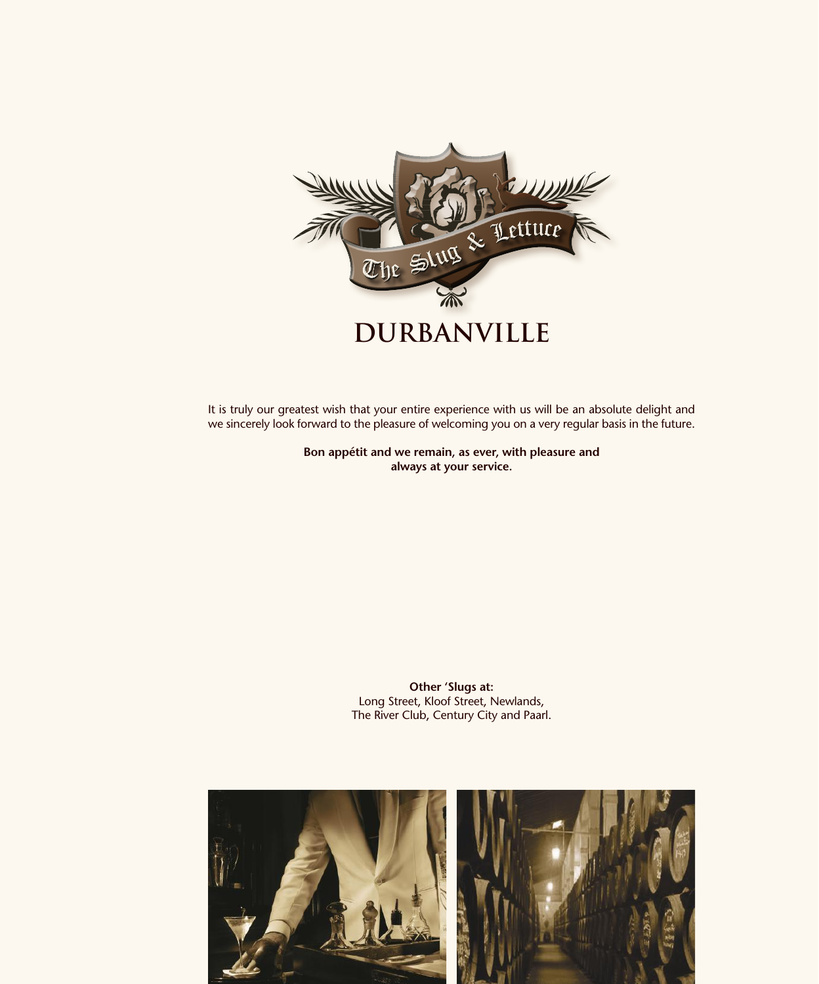

It is truly our greatest wish that your entire experience with us will be an absolute delight and we sincerely look forward to the pleasure of welcoming you on a very regular basis in the future.

> **Bon appétit and we remain, as ever, with pleasure and always at your service.**

> > **Other 'Slugs at:** Long Street, Kloof Street, Newlands, The River Club, Century City and Paarl.

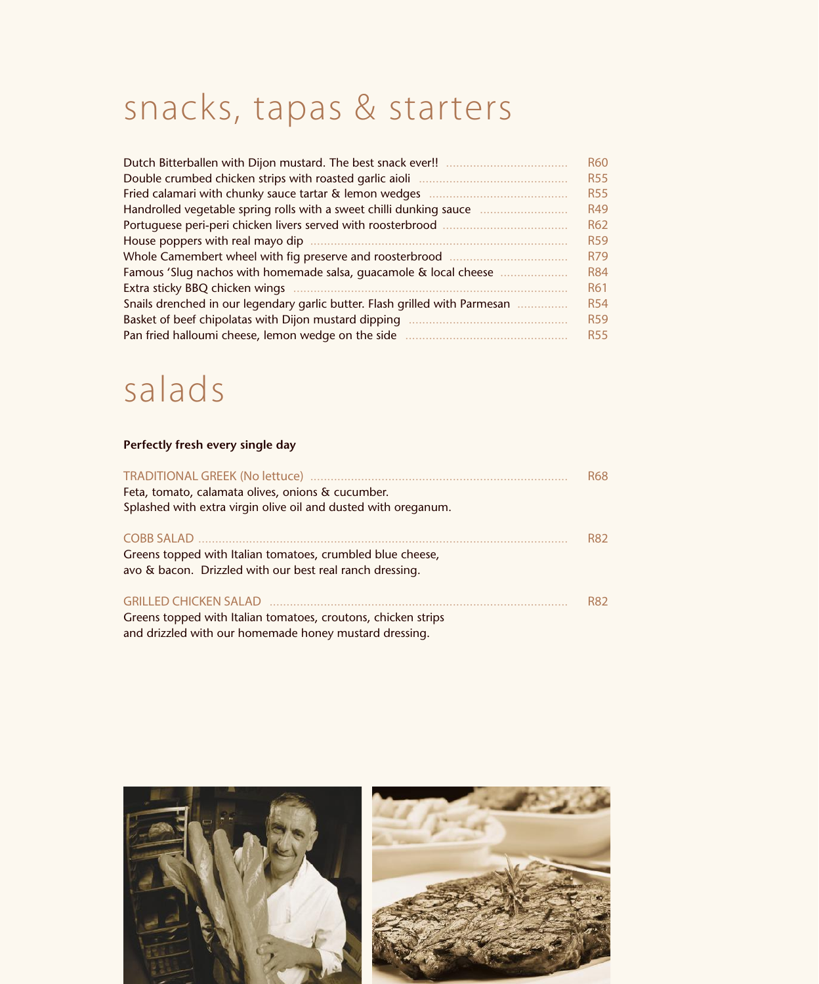## snacks, tapas & starters

| Dutch Bitterballen with Dijon mustard. The best snack ever!!                        | <b>R60</b> |
|-------------------------------------------------------------------------------------|------------|
| Double crumbed chicken strips with roasted garlic aioli                             | <b>R55</b> |
| Fried calamari with chunky sauce tartar & lemon wedges                              | <b>R55</b> |
| Handrolled vegetable spring rolls with a sweet chilli dunking sauce<br>. <u>.</u> . | <b>R49</b> |
| Portuguese peri-peri chicken livers served with roosterbrood                        | <b>R62</b> |
| House poppers with real mayo dip                                                    | <b>R59</b> |
| Whole Camembert wheel with fig preserve and roosterbrood<br>.                       | R79        |
| Famous 'Slug nachos with homemade salsa, quacamole & local cheese                   | <b>R84</b> |
| Extra sticky BBQ chicken wings                                                      | R61        |
| Snails drenched in our legendary garlic butter. Flash grilled with Parmesan         | <b>R54</b> |
| Basket of beef chipolatas with Dijon mustard dipping                                | <b>R59</b> |
| Pan fried halloumi cheese, lemon wedge on the side                                  | <b>R55</b> |

#### salads

#### **Perfectly fresh every single day**

| Feta, tomato, calamata olives, onions & cucumber.<br>Splashed with extra virgin olive oil and dusted with oreganum.     | <b>R68</b> |
|-------------------------------------------------------------------------------------------------------------------------|------------|
| Greens topped with Italian tomatoes, crumbled blue cheese,<br>avo & bacon. Drizzled with our best real ranch dressing.  | <b>R82</b> |
| Greens topped with Italian tomatoes, croutons, chicken strips<br>and drizzled with our homemade honey mustard dressing. | R82        |

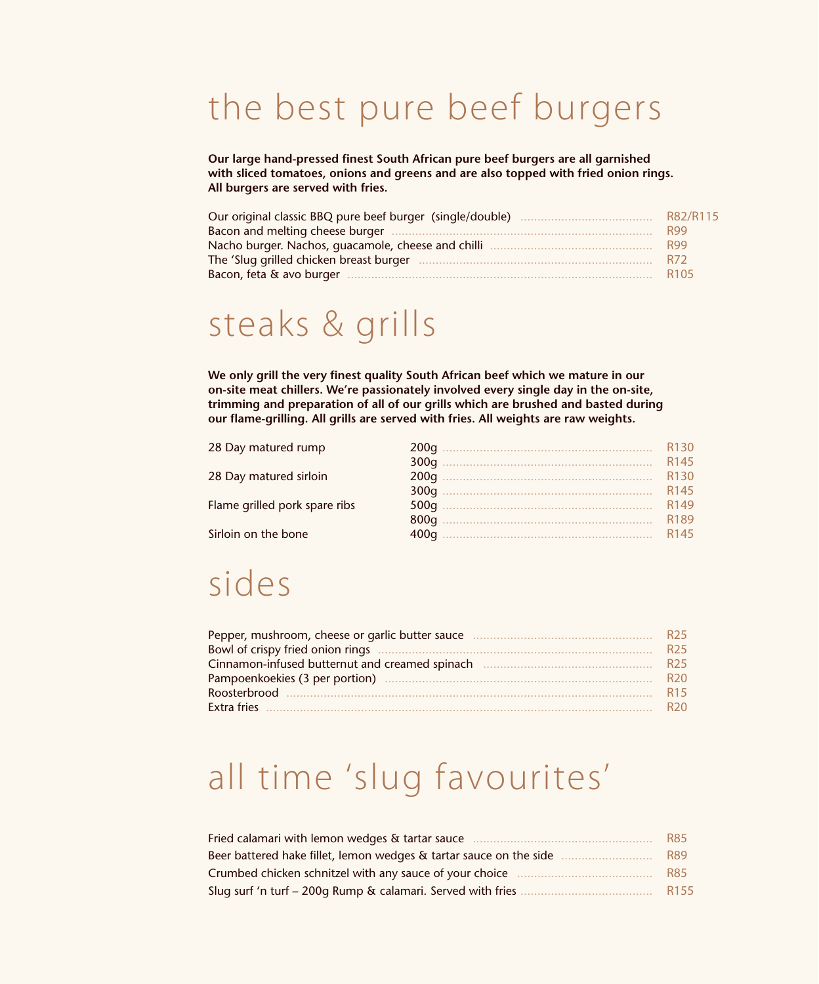#### the best pure beef burgers

**Our large hand-pressed finest South African pure beef burgers are all garnished with sliced tomatoes, onions and greens and are also topped with fried onion rings. All burgers are served with fries.**

| Our original classic BBQ pure beef burger (single/double) | R82/R115         |
|-----------------------------------------------------------|------------------|
|                                                           | <b>R99</b>       |
| Nacho burger. Nachos, guacamole, cheese and chilli        | <b>R99</b>       |
| The 'Slug grilled chicken breast burger                   | <b>R72</b>       |
| Bacon, feta & avo burger.                                 | R <sub>105</sub> |

#### steaks & grills

**We only grill the very finest quality South African beef which we mature in our on-site meat chillers. We're passionately involved every single day in the on-site, trimming and preparation of all of our grills which are brushed and basted during our flame-grilling. All grills are served with fries. All weights are raw weights.**

| 28 Day matured rump           | R <sub>130</sub> |
|-------------------------------|------------------|
|                               | R <sub>145</sub> |
| 28 Day matured sirloin        | R <sub>130</sub> |
|                               | R <sub>145</sub> |
| Flame grilled pork spare ribs | R <sub>149</sub> |
|                               | R189             |
| Sirloin on the bone           | R <sub>145</sub> |

#### sides

| Pepper, mushroom, cheese or garlic butter sauce | R <sub>25</sub> |
|-------------------------------------------------|-----------------|
|                                                 | R <sub>25</sub> |
|                                                 | R <sub>25</sub> |
|                                                 | R <sub>20</sub> |
|                                                 | R <sub>15</sub> |
| Extra fries                                     | R <sub>20</sub> |

#### all time 'slug favourites'

| Fried calamari with lemon wedges & tartar sauce                    | <b>R85</b>       |
|--------------------------------------------------------------------|------------------|
| Beer battered hake fillet, lemon wedges & tartar sauce on the side | <b>R89</b>       |
| Crumbed chicken schnitzel with any sauce of your choice            | R85              |
| Slug surf 'n turf – 200g Rump & calamari. Served with fries        | R <sub>155</sub> |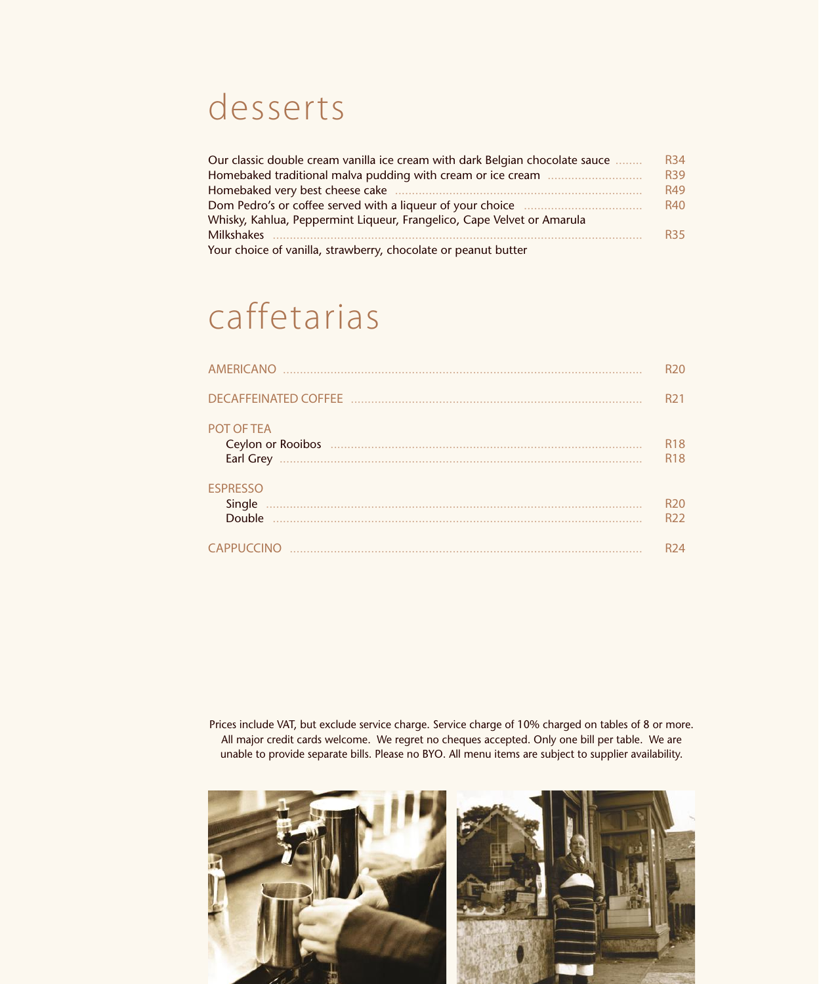#### desserts

| Our classic double cream vanilla ice cream with dark Belgian chocolate sauce | <b>R34</b> |
|------------------------------------------------------------------------------|------------|
|                                                                              | <b>R39</b> |
| Homebaked very best cheese cake                                              | R49        |
| Dom Pedro's or coffee served with a liqueur of your choice                   | <b>R40</b> |
| Whisky, Kahlua, Peppermint Liqueur, Frangelico, Cape Velvet or Amarula       |            |
| Milkshakes                                                                   | <b>R35</b> |
| Your choice of vanilla, strawberry, chocolate or peanut butter               |            |

## caffetarias

| <b>AMERICANO</b>                    | R <sub>20</sub>                    |
|-------------------------------------|------------------------------------|
|                                     | R <sub>21</sub>                    |
| POT OF TEA<br>Earl Grey             | R <sub>18</sub><br><b>R18</b>      |
| <b>ESPRESSO</b><br>Single<br>Double | R <sub>20</sub><br>R <sub>22</sub> |
| CAPPUCCINO                          | R <sub>24</sub>                    |

Prices include VAT, but exclude service charge. Service charge of 10% charged on tables of 8 or more. All major credit cards welcome. We regret no cheques accepted. Only one bill per table. We are unable to provide separate bills. Please no BYO. All menu items are subject to supplier availability.

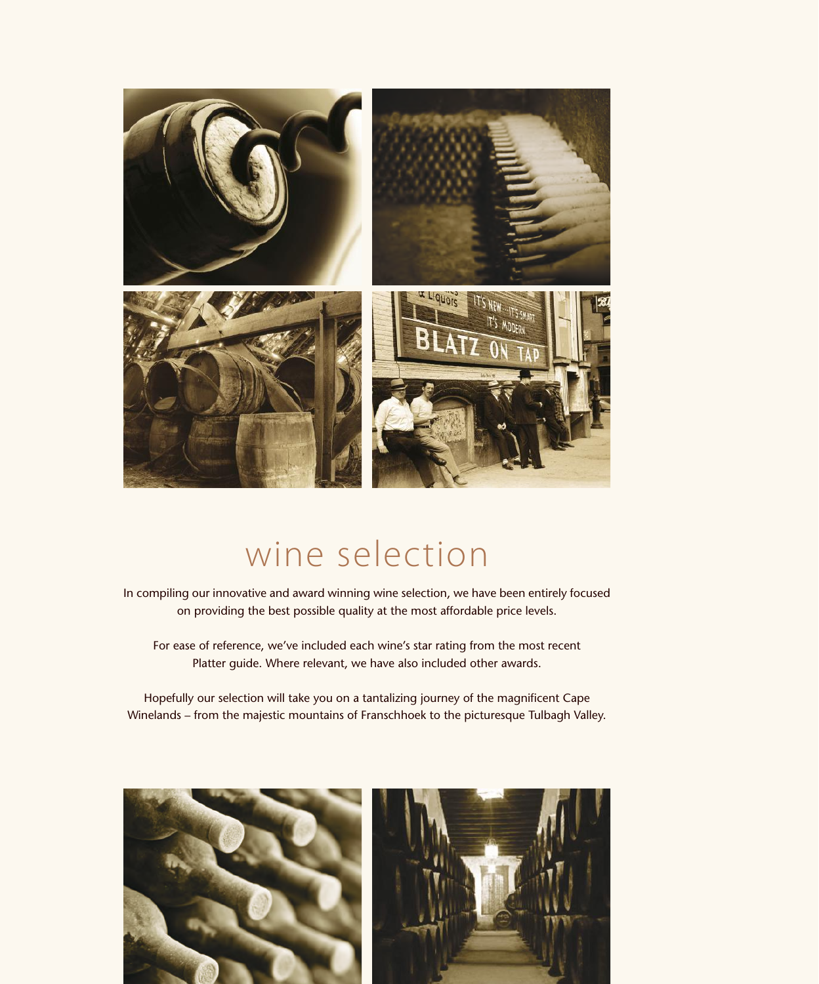

### wine selection

In compiling our innovative and award winning wine selection, we have been entirely focused on providing the best possible quality at the most affordable price levels.

For ease of reference, we've included each wine's star rating from the most recent Platter guide. Where relevant, we have also included other awards.

Hopefully our selection will take you on a tantalizing journey of the magnificent Cape Winelands – from the majestic mountains of Franschhoek to the picturesque Tulbagh Valley.

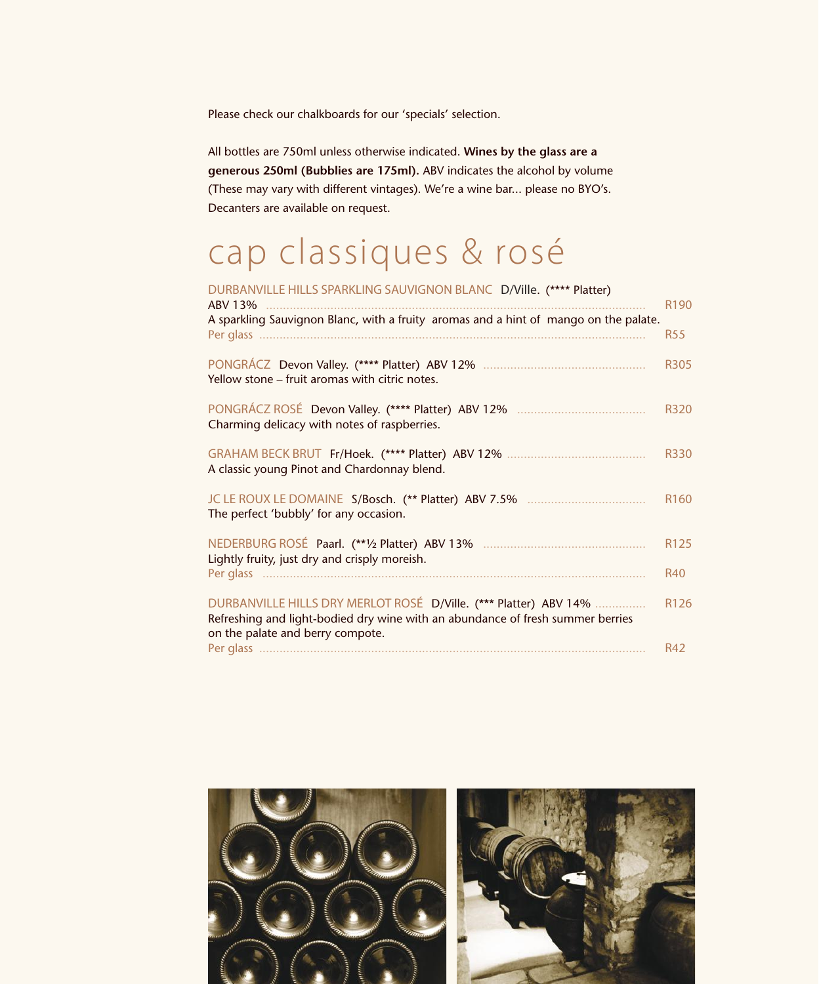Please check our chalkboards for our 'specials' selection.

All bottles are 750ml unless otherwise indicated. **Wines by the glass are a generous 250ml (Bubblies are 175ml).** ABV indicates the alcohol by volume (These may vary with different vintages). We're a wine bar... please no BYO's. Decanters are available on request.

## cap classiques & rosé

#### DURBANVILLE HILLS SPARKLING SAUVIGNON BLANC D/Ville. (\*\*\*\* Platter)

| ABV 13%                                                                                                                                                                                | R <sub>190</sub> |
|----------------------------------------------------------------------------------------------------------------------------------------------------------------------------------------|------------------|
| A sparkling Sauvignon Blanc, with a fruity aromas and a hint of mango on the palate.                                                                                                   | <b>R55</b>       |
| Yellow stone - fruit aromas with citric notes.                                                                                                                                         | R305             |
| Charming delicacy with notes of raspberries.                                                                                                                                           | R320             |
| A classic young Pinot and Chardonnay blend.                                                                                                                                            | R330             |
| The perfect 'bubbly' for any occasion.                                                                                                                                                 | R <sub>160</sub> |
| Lightly fruity, just dry and crisply moreish.                                                                                                                                          | R125             |
|                                                                                                                                                                                        | <b>R40</b>       |
| DURBANVILLE HILLS DRY MERLOT ROSÉ D/Ville. (*** Platter) ABV 14%<br>Refreshing and light-bodied dry wine with an abundance of fresh summer berries<br>on the palate and berry compote. | R126             |
|                                                                                                                                                                                        | <b>R42</b>       |

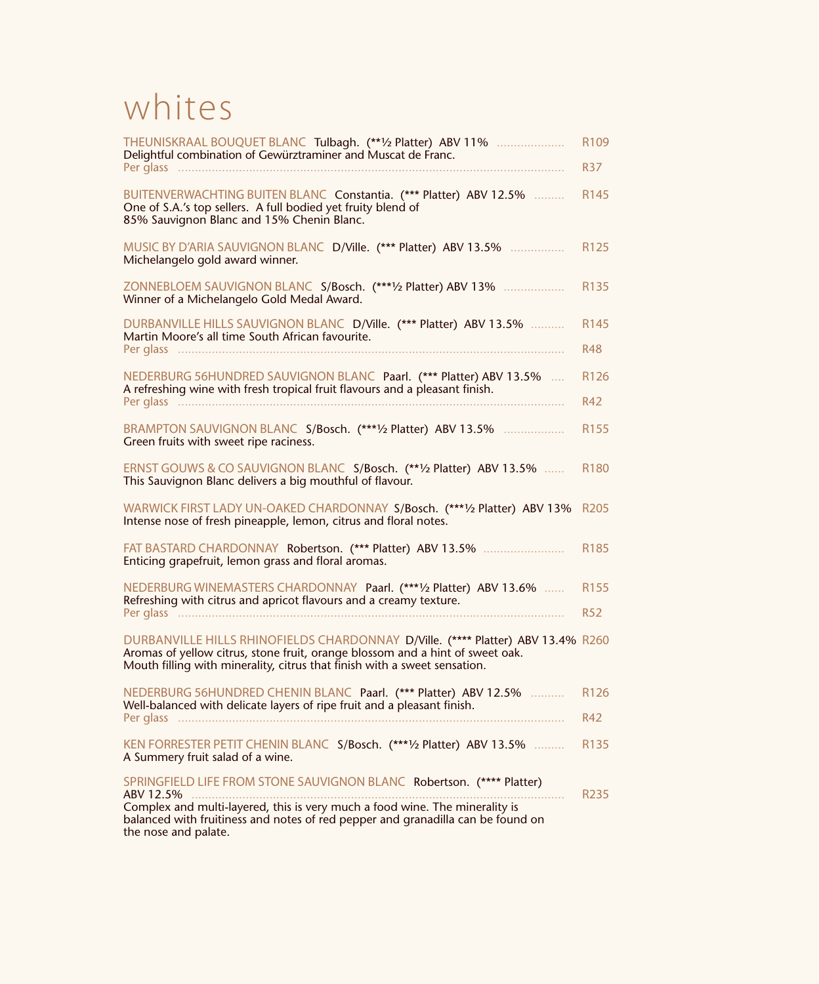#### whites

| THEUNISKRAAL BOUQUET BLANC Tulbagh. (**1/2 Platter) ABV 11%<br>Delightful combination of Gewürztraminer and Muscat de Franc.                                                                                                                                                 | R <sub>109</sub><br><b>R37</b> |
|------------------------------------------------------------------------------------------------------------------------------------------------------------------------------------------------------------------------------------------------------------------------------|--------------------------------|
| BUITENVERWACHTING BUITEN BLANC Constantia. (*** Platter) ABV 12.5%<br>One of S.A.'s top sellers. A full bodied yet fruity blend of<br>85% Sauvignon Blanc and 15% Chenin Blanc.                                                                                              | R <sub>145</sub>               |
| MUSIC BY D'ARIA SAUVIGNON BLANC D/Ville. (*** Platter) ABV 13.5%<br>Michelangelo gold award winner.                                                                                                                                                                          | R125                           |
| ZONNEBLOEM SAUVIGNON BLANC S/Bosch. (***1/2 Platter) ABV 13%<br>Winner of a Michelangelo Gold Medal Award.                                                                                                                                                                   | R <sub>135</sub>               |
| DURBANVILLE HILLS SAUVIGNON BLANC D/Ville. (*** Platter) ABV 13.5%<br>Martin Moore's all time South African favourite.                                                                                                                                                       | R <sub>145</sub><br><b>R48</b> |
| NEDERBURG 56HUNDRED SAUVIGNON BLANC Paarl. (*** Platter) ABV 13.5%<br>A refreshing wine with fresh tropical fruit flavours and a pleasant finish.                                                                                                                            | R126<br><b>R42</b>             |
| BRAMPTON SAUVIGNON BLANC S/Bosch. (***1/2 Platter) ABV 13.5%<br>Green fruits with sweet ripe raciness.                                                                                                                                                                       | R <sub>155</sub>               |
| ERNST GOUWS & CO SAUVIGNON BLANC S/Bosch. (** 1/2 Platter) ABV 13.5%<br>This Sauvignon Blanc delivers a big mouthful of flavour.                                                                                                                                             | R <sub>180</sub>               |
| WARWICK FIRST LADY UN-OAKED CHARDONNAY S/Bosch. (***1/2 Platter) ABV 13%<br>Intense nose of fresh pineapple, lemon, citrus and floral notes.                                                                                                                                 | R <sub>205</sub>               |
| FAT BASTARD CHARDONNAY Robertson. (*** Platter) ABV 13.5%<br>Enticing grapefruit, lemon grass and floral aromas.                                                                                                                                                             | R <sub>185</sub>               |
| NEDERBURG WINEMASTERS CHARDONNAY Paarl. (***1/2 Platter) ABV 13.6%<br>Refreshing with citrus and apricot flavours and a creamy texture.                                                                                                                                      | R <sub>155</sub><br><b>R52</b> |
| DURBANVILLE HILLS RHINOFIELDS CHARDONNAY D/Ville. (**** Platter) ABV 13.4% R260<br>Aromas of yellow citrus, stone fruit, orange blossom and a hint of sweet oak.<br>Mouth filling with minerality, citrus that finish with a sweet sensation.                                |                                |
| NEDERBURG 56HUNDRED CHENIN BLANC Paarl. (*** Platter) ABV 12.5%  R126<br>Well-balanced with delicate layers of ripe fruit and a pleasant finish.                                                                                                                             | R42                            |
| KEN FORRESTER PETIT CHENIN BLANC S/Bosch. (***1/2 Platter) ABV 13.5%<br>A Summery fruit salad of a wine.                                                                                                                                                                     | R <sub>1</sub> 35              |
| SPRINGFIELD LIFE FROM STONE SAUVIGNON BLANC Robertson. (**** Platter)<br>ABV 12.5%<br>Complex and multi-layered, this is very much a food wine. The minerality is<br>balanced with fruitiness and notes of red pepper and granadilla can be found on<br>the nose and palate. | R <sub>235</sub>               |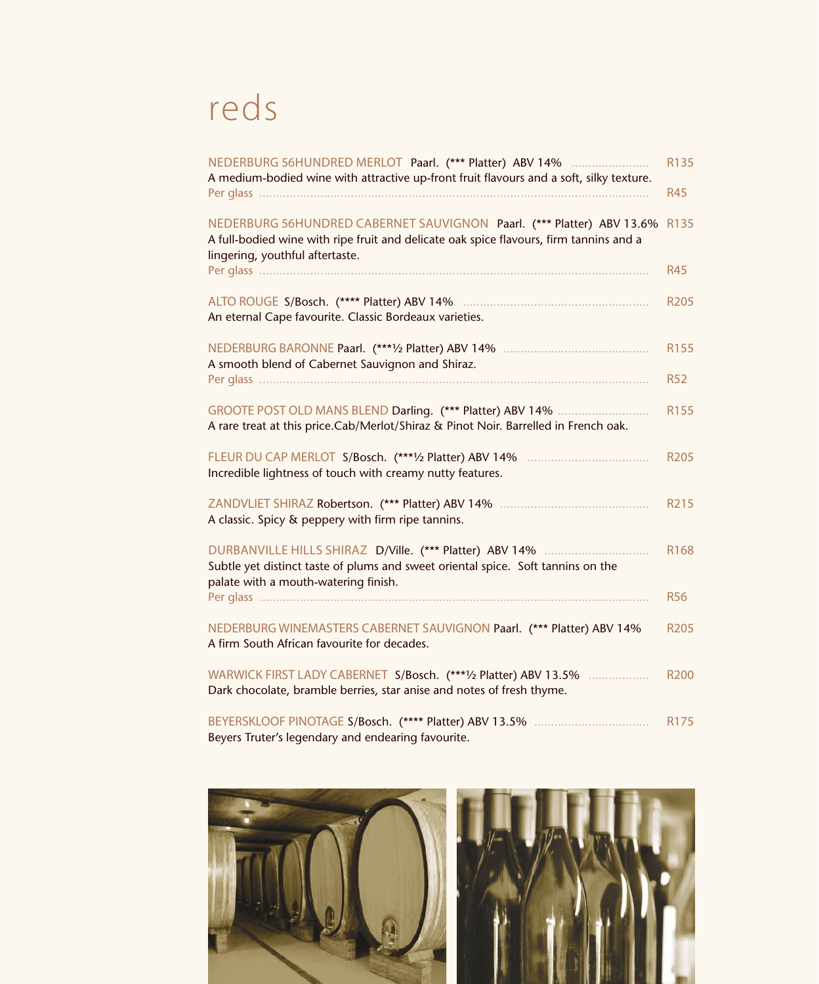## reds

| NEDERBURG 56HUNDRED MERLOT Paarl. (*** Platter) ABV 14%<br>A medium-bodied wine with attractive up-front fruit flavours and a soft, silky texture.                                                 | R135<br><b>R45</b> |
|----------------------------------------------------------------------------------------------------------------------------------------------------------------------------------------------------|--------------------|
| NEDERBURG 56HUNDRED CABERNET SAUVIGNON Paarl. (*** Platter) ABV 13.6%<br>A full-bodied wine with ripe fruit and delicate oak spice flavours, firm tannins and a<br>lingering, youthful aftertaste. | R135               |
|                                                                                                                                                                                                    | <b>R45</b>         |
| An eternal Cape favourite. Classic Bordeaux varieties.                                                                                                                                             | R205               |
| A smooth blend of Cabernet Sauvignon and Shiraz.                                                                                                                                                   | R155<br><b>R52</b> |
| GROOTE POST OLD MANS BLEND Darling. (*** Platter) ABV 14%<br>A rare treat at this price.Cab/Merlot/Shiraz & Pinot Noir. Barrelled in French oak.                                                   | R155               |
| Incredible lightness of touch with creamy nutty features.                                                                                                                                          | <b>R205</b>        |
| A classic. Spicy & peppery with firm ripe tannins.                                                                                                                                                 | R215               |
| Subtle yet distinct taste of plums and sweet oriental spice. Soft tannins on the<br>palate with a mouth-watering finish.                                                                           | R168               |
|                                                                                                                                                                                                    | <b>R56</b>         |
| NEDERBURG WINEMASTERS CABERNET SAUVIGNON Paarl. (*** Platter) ABV 14%<br>A firm South African favourite for decades.                                                                               | <b>R205</b>        |
| WARWICK FIRST LADY CABERNET S/Bosch. (****) Platter) ABV 13.5%<br>Dark chocolate, bramble berries, star anise and notes of fresh thyme.                                                            | <b>R200</b>        |
| Beyers Truter's legendary and endearing favourite.                                                                                                                                                 | R175               |

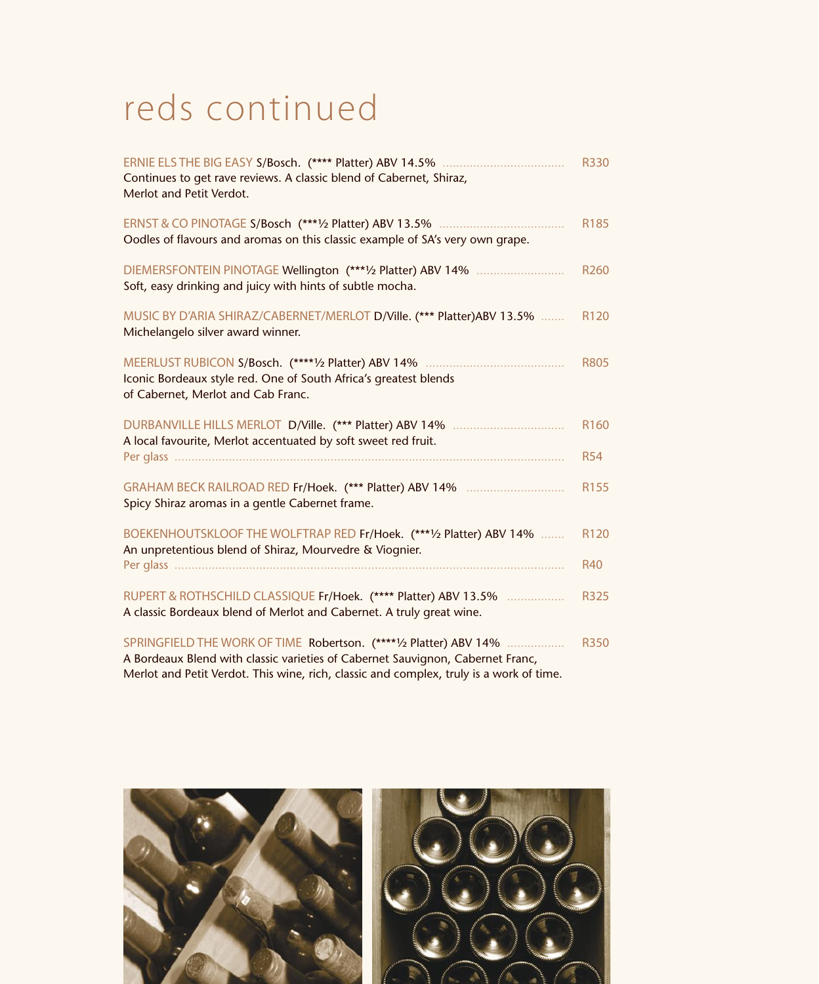#### reds continued

| Continues to get rave reviews. A classic blend of Cabernet, Shiraz,<br>Merlot and Petit Verdot.                                         | <b>R330</b>                    |
|-----------------------------------------------------------------------------------------------------------------------------------------|--------------------------------|
| Oodles of flavours and aromas on this classic example of SA's very own grape.                                                           | R185                           |
| DIEMERSFONTEIN PINOTAGE Wellington (***1/2 Platter) ABV 14%<br>Soft, easy drinking and juicy with hints of subtle mocha.                | R <sub>260</sub>               |
| MUSIC BY D'ARIA SHIRAZ/CABERNET/MERLOT D/Ville. (*** Platter)ABV 13.5%<br>Michelangelo silver award winner.                             | R <sub>120</sub>               |
| Iconic Bordeaux style red. One of South Africa's greatest blends<br>of Cabernet, Merlot and Cab Franc.                                  | <b>R805</b>                    |
| A local favourite, Merlot accentuated by soft sweet red fruit.                                                                          | R <sub>160</sub><br><b>R54</b> |
| Spicy Shiraz aromas in a gentle Cabernet frame.                                                                                         | R155                           |
| BOEKENHOUTSKLOOF THE WOLFTRAP RED Fr/Hoek. (*** 1/2 Platter) ABV 14%<br>An unpretentious blend of Shiraz, Mourvedre & Viognier.         | R120<br><b>R40</b>             |
| RUPERT & ROTHSCHILD CLASSIQUE Fr/Hoek. (**** Platter) ABV 13.5%<br>A classic Bordeaux blend of Merlot and Cabernet. A truly great wine. | <b>R325</b>                    |
| SPRINGFIELD THE WORK OF TIME Robertson. (****1/2 Platter) ABV 14%                                                                       | <b>R350</b>                    |

A Bordeaux Blend with classic varieties of Cabernet Sauvignon, Cabernet Franc, Merlot and Petit Verdot. This wine, rich, classic and complex, truly is a work of time.

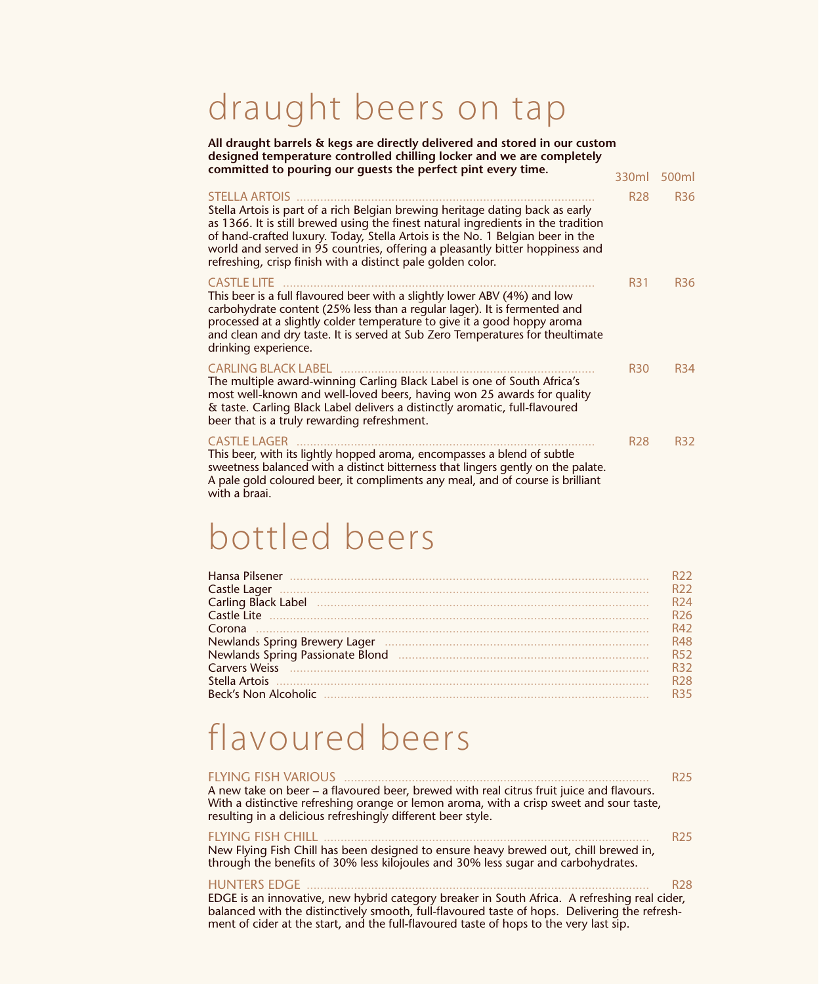#### draught beers on tap

**All draught barrels & kegs are directly delivered and stored in our custom designed temperature controlled chilling locker and we are completely** 

| committed to pouring our guests the perfect pint every time.                                                                                                                                                                                                                                                                                                                                                               | 330ml      |                 |
|----------------------------------------------------------------------------------------------------------------------------------------------------------------------------------------------------------------------------------------------------------------------------------------------------------------------------------------------------------------------------------------------------------------------------|------------|-----------------|
|                                                                                                                                                                                                                                                                                                                                                                                                                            |            | 500ml           |
| <b>STELLA ARTOIS</b><br>Stella Artois is part of a rich Belgian brewing heritage dating back as early<br>as 1366. It is still brewed using the finest natural ingredients in the tradition<br>of hand-crafted luxury. Today, Stella Artois is the No. 1 Belgian beer in the<br>world and served in 95 countries, offering a pleasantly bitter hoppiness and<br>refreshing, crisp finish with a distinct pale golden color. | <b>R28</b> | <b>R36</b>      |
| <b>CASTLE LITE</b><br>This beer is a full flavoured beer with a slightly lower ABV (4%) and low<br>carbohydrate content (25% less than a regular lager). It is fermented and<br>processed at a slightly colder temperature to give it a good hoppy aroma<br>and clean and dry taste. It is served at Sub Zero Temperatures for theultimate<br>drinking experience.                                                         | <b>R31</b> | <b>R36</b>      |
| <b>CARLING BLACK LABEL</b><br>The multiple award-winning Carling Black Label is one of South Africa's<br>most well-known and well-loved beers, having won 25 awards for quality<br>& taste. Carling Black Label delivers a distinctly aromatic, full-flavoured<br>beer that is a truly rewarding refreshment.                                                                                                              | <b>R30</b> | R <sub>34</sub> |
| <b>CASTLE LAGER</b><br>This beer, with its lightly hopped aroma, encompasses a blend of subtle<br>sweetness balanced with a distinct bitterness that lingers gently on the palate.<br>A pale gold coloured beer, it compliments any meal, and of course is brilliant                                                                                                                                                       | <b>R28</b> | <b>R32</b>      |

#### with a braai.

#### bottled beers

|                                                                 | R22.            |
|-----------------------------------------------------------------|-----------------|
| Castle Lager                                                    | R <sub>22</sub> |
| Carling Black Label <b>Manual According Carling Black</b> Label | R <sub>24</sub> |
|                                                                 | R <sub>26</sub> |
| Corona                                                          | R42             |
| Newlands Spring Brewery Lager                                   | <b>R48</b>      |
| Newlands Spring Passionate Blond                                | <b>R52</b>      |
|                                                                 | R32             |
|                                                                 | R <sub>28</sub> |
| <b>Beck's Non Alcoholic</b>                                     | R35.            |
|                                                                 |                 |

#### flavoured beers

| <b>FLYING FISH VARIOUS</b><br>A new take on beer – a flavoured beer, brewed with real citrus fruit juice and flavours.<br>With a distinctive refreshing orange or lemon aroma, with a crisp sweet and sour taste,<br>resulting in a delicious refreshingly different beer style.                               | <b>R25</b> |
|----------------------------------------------------------------------------------------------------------------------------------------------------------------------------------------------------------------------------------------------------------------------------------------------------------------|------------|
| <b>FLYING FISH CHILL</b><br>New Flying Fish Chill has been designed to ensure heavy brewed out, chill brewed in,<br>through the benefits of 30% less kilojoules and 30% less sugar and carbohydrates.                                                                                                          | <b>R25</b> |
| <b>HUNTERS EDGE</b><br>EDGE is an innovative, new hybrid category breaker in South Africa. A refreshing real cider,<br>balanced with the distinctively smooth, full-flavoured taste of hops. Delivering the refresh-<br>ment of cider at the start, and the full-flavoured taste of hops to the very last sip. | <b>R28</b> |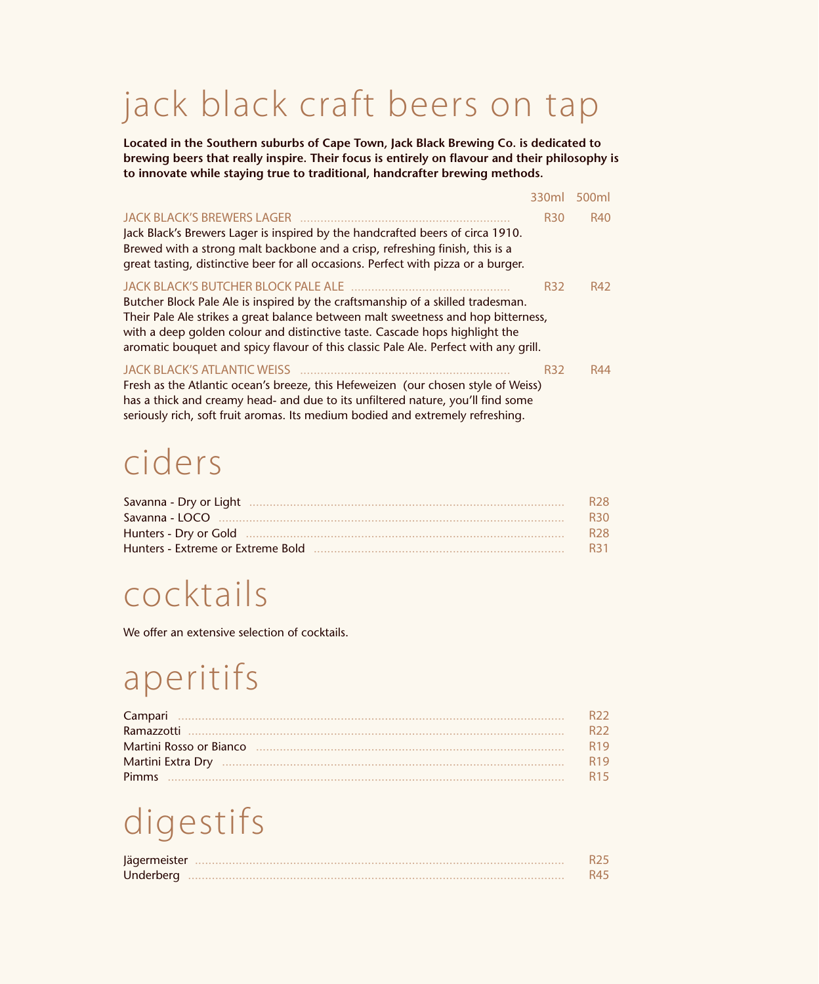## jack black craft beers on tap

**Located in the Southern suburbs of Cape Town, Jack Black Brewing Co. is dedicated to brewing beers that really inspire. Their focus is entirely on flavour and their philosophy is to innovate while staying true to traditional, handcrafter brewing methods.**

|                                                                                                                                                                                                                                                                                                                                                                                    | 330ml      | 500ml      |
|------------------------------------------------------------------------------------------------------------------------------------------------------------------------------------------------------------------------------------------------------------------------------------------------------------------------------------------------------------------------------------|------------|------------|
| JACK BLACK'S BREWERS LAGER<br>Jack Black's Brewers Lager is inspired by the handcrafted beers of circa 1910.<br>Brewed with a strong malt backbone and a crisp, refreshing finish, this is a<br>great tasting, distinctive beer for all occasions. Perfect with pizza or a burger.                                                                                                 | <b>R30</b> | <b>R40</b> |
| JACK BLACK'S BUTCHER BLOCK PALE ALE<br>Butcher Block Pale Ale is inspired by the craftsmanship of a skilled tradesman.<br>Their Pale Ale strikes a great balance between malt sweetness and hop bitterness,<br>with a deep golden colour and distinctive taste. Cascade hops highlight the<br>aromatic bouquet and spicy flavour of this classic Pale Ale. Perfect with any grill. | <b>R32</b> | R42        |
| Fresh as the Atlantic ocean's breeze, this Hefeweizen (our chosen style of Weiss)<br>has a thick and creamy head- and due to its unfiltered nature, you'll find some<br>seriously rich, soft fruit aromas. Its medium bodied and extremely refreshing.                                                                                                                             | <b>R32</b> | R44        |

## ciders

|                                                     | R <sub>28</sub> |
|-----------------------------------------------------|-----------------|
|                                                     | <b>R30</b>      |
| Hunters - Dry or Gold …………………………………………………………………………… | <b>R28</b>      |
|                                                     | R31             |

#### cocktails

We offer an extensive selection of cocktails.

## aperitifs

|       | R <sub>22</sub> |
|-------|-----------------|
|       | R <sub>22</sub> |
|       | R <sub>19</sub> |
|       | R <sub>19</sub> |
| Pimms | R <sub>15</sub> |

## digestifs

| Jägermeister |  |
|--------------|--|
| Underberg    |  |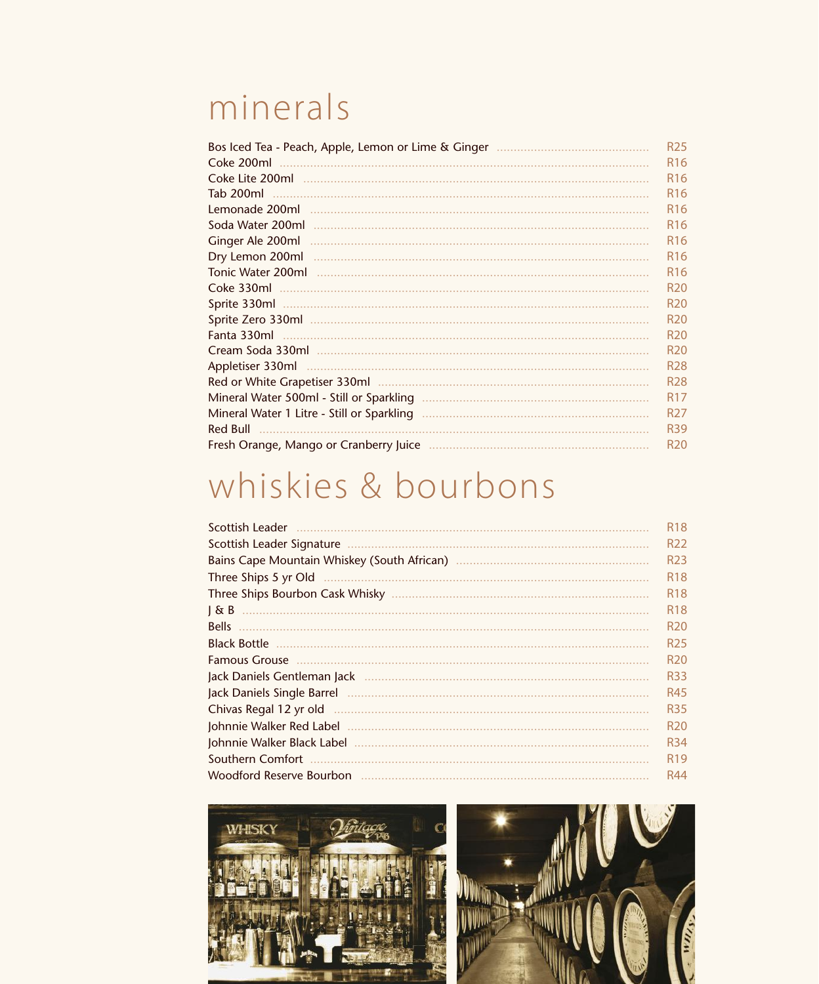#### minerals

|                               | R <sub>25</sub> |
|-------------------------------|-----------------|
| Coke 200ml                    | R <sub>16</sub> |
|                               | R <sub>16</sub> |
| Tab 200ml                     | R <sub>16</sub> |
| Lemonade 200ml                | R <sub>16</sub> |
| Soda Water 200ml              | R <sub>16</sub> |
| Ginger Ale 200ml              | R <sub>16</sub> |
| Dry Lemon 200ml               | R <sub>16</sub> |
| Tonic Water 200ml             | R <sub>16</sub> |
|                               | R <sub>20</sub> |
| Sprite 330ml                  | R <sub>20</sub> |
|                               | R <sub>20</sub> |
|                               | R <sub>20</sub> |
|                               | R <sub>20</sub> |
| Appletiser 330ml              | R <sub>28</sub> |
| Red or White Grapetiser 330ml | R <sub>28</sub> |
|                               | R <sub>17</sub> |
|                               | R <sub>27</sub> |
| Red Bull                      | R <sub>39</sub> |
|                               | R <sub>20</sub> |

## whiskies & bourbons

| Scottish Leader                                                                                                | R <sub>18</sub> |
|----------------------------------------------------------------------------------------------------------------|-----------------|
|                                                                                                                | R <sub>22</sub> |
|                                                                                                                | R <sub>23</sub> |
| Three Ships 5 yr Old                                                                                           | R <sub>18</sub> |
|                                                                                                                | R <sub>18</sub> |
| 1 & B                                                                                                          | R <sub>18</sub> |
| <b>Bells</b>                                                                                                   | R <sub>20</sub> |
| <b>Black Bottle</b>                                                                                            | R <sub>25</sub> |
| <b>Famous Grouse</b>                                                                                           | R <sub>20</sub> |
| Jack Daniels Gentleman Jack                                                                                    | <b>R33</b>      |
|                                                                                                                | R45             |
| Chivas Regal 12 yr old                                                                                         | <b>R35</b>      |
|                                                                                                                | R <sub>20</sub> |
|                                                                                                                | R <sub>34</sub> |
| Southern Comfort                                                                                               | R <sub>19</sub> |
| Woodford Reserve Bourbon (1999) (1999) (1999) (1999) (1999) (1999) (1999) (1999) (1999) (1999) (1999) (1999) ( | R44             |

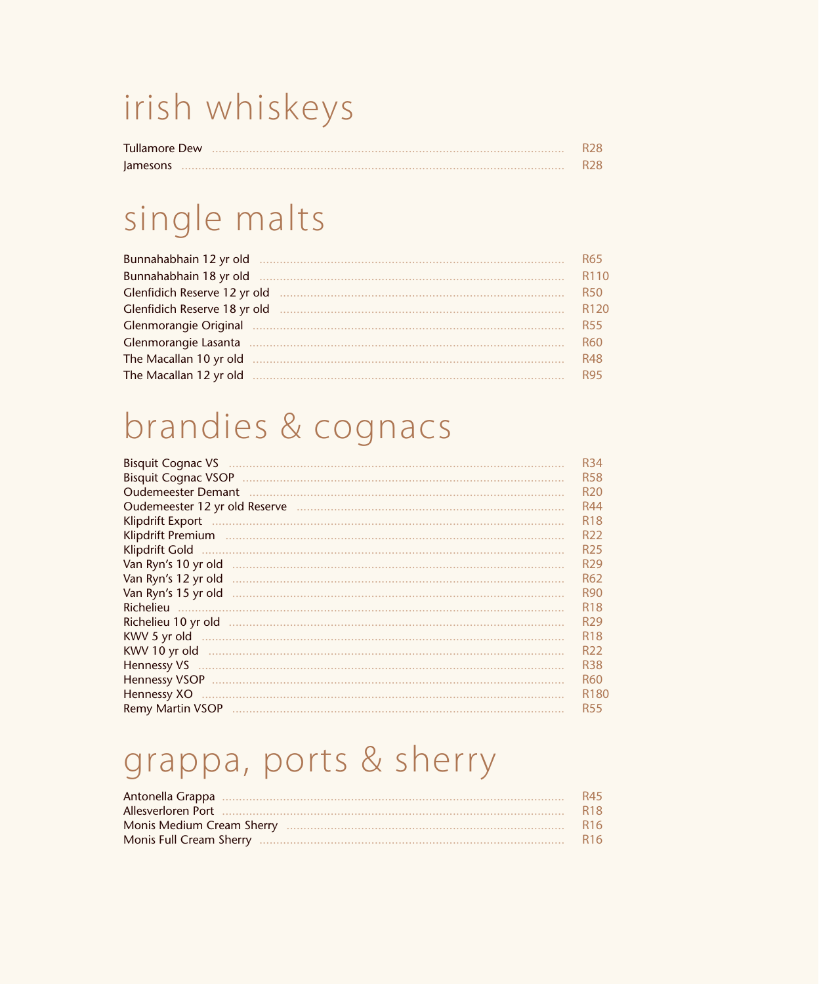## irish whiskeys

| <b>Tullamore Dew</b> | R28. |
|----------------------|------|
| lamesons             | R28. |

#### single malts

| Bunnahabhain 12 yr old       | R65.                         |
|------------------------------|------------------------------|
| Bunnahabhain 18 yr old       | R <sub>11</sub> <sup>(</sup> |
| Glenfidich Reserve 12 yr old | R50.                         |
| Glenfidich Reserve 18 yr old | R <sub>12</sub>              |
| <b>Glenmorangie Original</b> | <b>R55</b>                   |
| Glenmorangie Lasanta         | <b>R60</b>                   |
| The Macallan 10 yr old       | <b>R48</b>                   |
| The Macallan 12 yr old       | <b>R95</b>                   |

## brandies & cognacs

| <b>Bisquit Cognac VS</b>   | <b>R34</b>       |
|----------------------------|------------------|
| <b>Bisquit Cognac VSOP</b> | <b>R58</b>       |
| <b>Oudemeester Demant</b>  | R <sub>20</sub>  |
|                            | R44              |
| Klipdrift Export           | R <sub>18</sub>  |
| Klipdrift Premium          | R <sub>22</sub>  |
| Klipdrift Gold             | R <sub>25</sub>  |
| Van Ryn's 10 yr old        | R <sub>29</sub>  |
| Van Ryn's 12 yr old        | R62              |
| Van Ryn's 15 yr old        | <b>R90</b>       |
| Richelieu                  | R <sub>18</sub>  |
|                            | R <sub>29</sub>  |
| KWV 5 yr old               | R <sub>18</sub>  |
| KWV 10 yr old              | R <sub>22</sub>  |
| Hennessy VS                | <b>R38</b>       |
| <b>Hennessy VSOP</b>       | <b>R60</b>       |
| Hennessy XO                | R <sub>180</sub> |
| Remy Martin VSOP           | <b>R55</b>       |

## grappa, ports & sherry

| R45        |
|------------|
| <b>R18</b> |
| <b>R16</b> |
| <b>R16</b> |
|            |